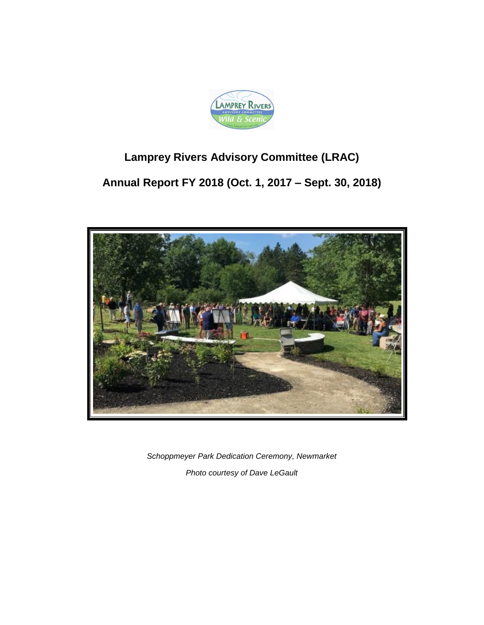

# **Lamprey Rivers Advisory Committee (LRAC)**

**Annual Report FY 2018 (Oct. 1, 2017 – Sept. 30, 2018)**



*Schoppmeyer Park Dedication Ceremony, Newmarket Photo courtesy of Dave LeGault*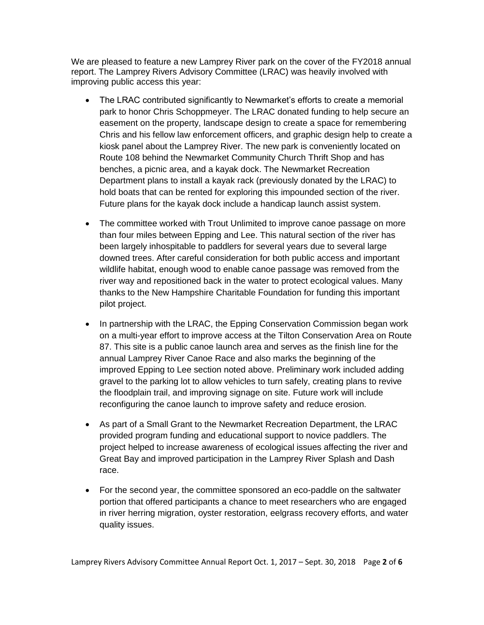We are pleased to feature a new Lamprey River park on the cover of the FY2018 annual report. The Lamprey Rivers Advisory Committee (LRAC) was heavily involved with improving public access this year:

- The LRAC contributed significantly to Newmarket's efforts to create a memorial park to honor Chris Schoppmeyer. The LRAC donated funding to help secure an easement on the property, landscape design to create a space for remembering Chris and his fellow law enforcement officers, and graphic design help to create a kiosk panel about the Lamprey River. The new park is conveniently located on Route 108 behind the Newmarket Community Church Thrift Shop and has benches, a picnic area, and a kayak dock. The Newmarket Recreation Department plans to install a kayak rack (previously donated by the LRAC) to hold boats that can be rented for exploring this impounded section of the river. Future plans for the kayak dock include a handicap launch assist system.
- The committee worked with Trout Unlimited to improve canoe passage on more than four miles between Epping and Lee. This natural section of the river has been largely inhospitable to paddlers for several years due to several large downed trees. After careful consideration for both public access and important wildlife habitat, enough wood to enable canoe passage was removed from the river way and repositioned back in the water to protect ecological values. Many thanks to the New Hampshire Charitable Foundation for funding this important pilot project.
- In partnership with the LRAC, the Epping Conservation Commission began work on a multi-year effort to improve access at the Tilton Conservation Area on Route 87. This site is a public canoe launch area and serves as the finish line for the annual Lamprey River Canoe Race and also marks the beginning of the improved Epping to Lee section noted above. Preliminary work included adding gravel to the parking lot to allow vehicles to turn safely, creating plans to revive the floodplain trail, and improving signage on site. Future work will include reconfiguring the canoe launch to improve safety and reduce erosion.
- As part of a Small Grant to the Newmarket Recreation Department, the LRAC provided program funding and educational support to novice paddlers. The project helped to increase awareness of ecological issues affecting the river and Great Bay and improved participation in the Lamprey River Splash and Dash race.
- For the second year, the committee sponsored an eco-paddle on the saltwater portion that offered participants a chance to meet researchers who are engaged in river herring migration, oyster restoration, eelgrass recovery efforts, and water quality issues.

Lamprey Rivers Advisory Committee Annual Report Oct. 1, 2017 – Sept. 30, 2018 Page **2** of **6**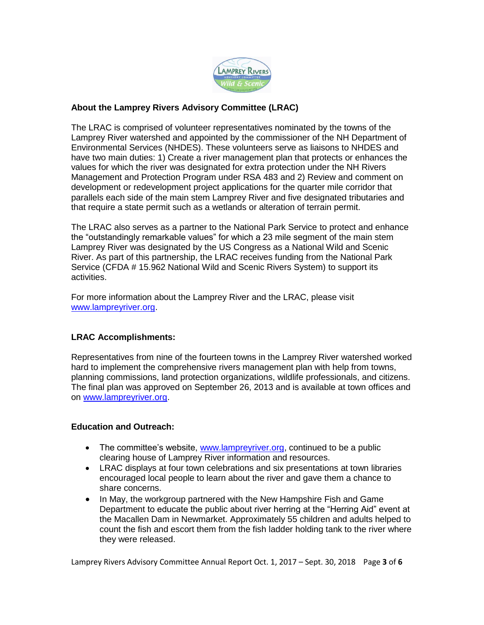

## **About the Lamprey Rivers Advisory Committee (LRAC)**

The LRAC is comprised of volunteer representatives nominated by the towns of the Lamprey River watershed and appointed by the commissioner of the NH Department of Environmental Services (NHDES). These volunteers serve as liaisons to NHDES and have two main duties: 1) Create a river management plan that protects or enhances the values for which the river was designated for extra protection under the NH Rivers Management and Protection Program under RSA 483 and 2) Review and comment on development or redevelopment project applications for the quarter mile corridor that parallels each side of the main stem Lamprey River and five designated tributaries and that require a state permit such as a wetlands or alteration of terrain permit.

The LRAC also serves as a partner to the National Park Service to protect and enhance the "outstandingly remarkable values" for which a 23 mile segment of the main stem Lamprey River was designated by the US Congress as a National Wild and Scenic River. As part of this partnership, the LRAC receives funding from the National Park Service (CFDA # 15.962 National Wild and Scenic Rivers System) to support its activities.

For more information about the Lamprey River and the LRAC, please visit [www.lampreyriver.org.](http://www.lampreyriver.org/)

## **LRAC Accomplishments:**

Representatives from nine of the fourteen towns in the Lamprey River watershed worked hard to implement the comprehensive rivers management plan with help from towns, planning commissions, land protection organizations, wildlife professionals, and citizens. The final plan was approved on September 26, 2013 and is available at town offices and on [www.lampreyriver.org.](../../../../AppData/Local/Microsoft/Windows/AppData/Local/Temp/Temp1_Re_%20LRAC%20annual%20report.zip/www.lampreyriver.org)

## **Education and Outreach:**

- The committee's website, [www.lampreyriver.org,](http://www.lampreyriver.org/) continued to be a public clearing house of Lamprey River information and resources.
- LRAC displays at four town celebrations and six presentations at town libraries encouraged local people to learn about the river and gave them a chance to share concerns.
- In May, the workgroup partnered with the New Hampshire Fish and Game Department to educate the public about river herring at the "Herring Aid" event at the Macallen Dam in Newmarket. Approximately 55 children and adults helped to count the fish and escort them from the fish ladder holding tank to the river where they were released.

Lamprey Rivers Advisory Committee Annual Report Oct. 1, 2017 – Sept. 30, 2018 Page **3** of **6**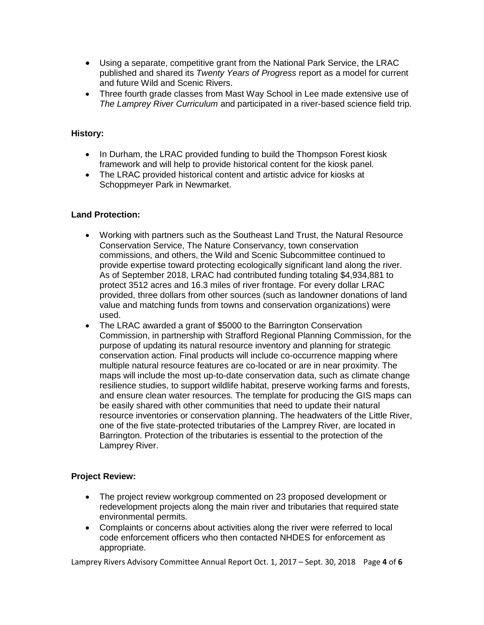- Using a separate, competitive grant from the National Park Service, the LRAC published and shared its *Twenty Years of Progress* report as a model for current and future Wild and Scenic Rivers.
- Three fourth grade classes from Mast Way School in Lee made extensive use of *The Lamprey River Curriculum* and participated in a river-based science field trip*.*

## **History:**

- In Durham, the LRAC provided funding to build the Thompson Forest kiosk framework and will help to provide historical content for the kiosk panel.
- The LRAC provided historical content and artistic advice for kiosks at Schoppmeyer Park in Newmarket.

### **Land Protection:**

- Working with partners such as the Southeast Land Trust, the Natural Resource Conservation Service, The Nature Conservancy, town conservation commissions, and others, the Wild and Scenic Subcommittee continued to provide expertise toward protecting ecologically significant land along the river. As of September 2018, LRAC had contributed funding totaling \$4,934,881 to protect 3512 acres and 16.3 miles of river frontage. For every dollar LRAC provided, three dollars from other sources (such as landowner donations of land value and matching funds from towns and conservation organizations) were used.
- The LRAC awarded a grant of \$5000 to the Barrington Conservation Commission, in partnership with Strafford Regional Planning Commission, for the purpose of updating its natural resource inventory and planning for strategic conservation action. Final products will include co-occurrence mapping where multiple natural resource features are co-located or are in near proximity. The maps will include the most up-to-date conservation data, such as climate change resilience studies, to support wildlife habitat, preserve working farms and forests, and ensure clean water resources. The template for producing the GIS maps can be easily shared with other communities that need to update their natural resource inventories or conservation planning. The headwaters of the Little River, one of the five state-protected tributaries of the Lamprey River, are located in Barrington. Protection of the tributaries is essential to the protection of the Lamprey River.

#### **Project Review:**

- The project review workgroup commented on 23 proposed development or redevelopment projects along the main river and tributaries that required state environmental permits.
- Complaints or concerns about activities along the river were referred to local code enforcement officers who then contacted NHDES for enforcement as appropriate.

Lamprey Rivers Advisory Committee Annual Report Oct. 1, 2017 – Sept. 30, 2018 Page **4** of **6**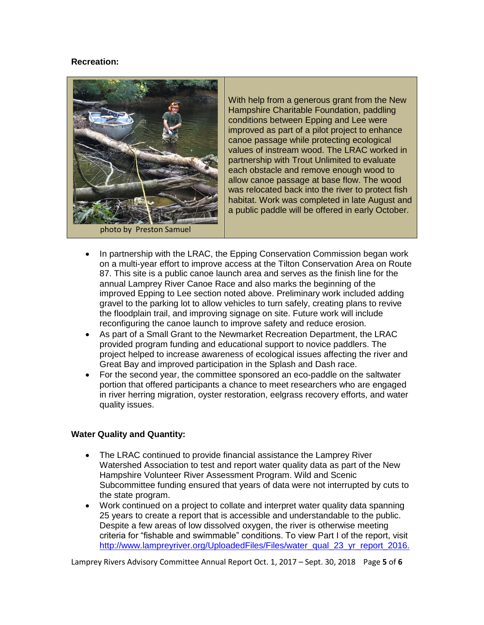## **Recreation:**



With help from a generous grant from the New Hampshire Charitable Foundation, paddling conditions between Epping and Lee were improved as part of a pilot project to enhance canoe passage while protecting ecological values of instream wood. The LRAC worked in partnership with Trout Unlimited to evaluate each obstacle and remove enough wood to allow canoe passage at base flow. The wood was relocated back into the river to protect fish habitat. Work was completed in late August and a public paddle will be offered in early October.

- In partnership with the LRAC, the Epping Conservation Commission began work on a multi-year effort to improve access at the Tilton Conservation Area on Route 87. This site is a public canoe launch area and serves as the finish line for the annual Lamprey River Canoe Race and also marks the beginning of the improved Epping to Lee section noted above. Preliminary work included adding gravel to the parking lot to allow vehicles to turn safely, creating plans to revive the floodplain trail, and improving signage on site. Future work will include reconfiguring the canoe launch to improve safety and reduce erosion.
- As part of a Small Grant to the Newmarket Recreation Department, the LRAC provided program funding and educational support to novice paddlers. The project helped to increase awareness of ecological issues affecting the river and Great Bay and improved participation in the Splash and Dash race.
- For the second year, the committee sponsored an eco-paddle on the saltwater portion that offered participants a chance to meet researchers who are engaged in river herring migration, oyster restoration, eelgrass recovery efforts, and water quality issues.

## **Water Quality and Quantity:**

- The LRAC continued to provide financial assistance the Lamprey River Watershed Association to test and report water quality data as part of the New Hampshire Volunteer River Assessment Program. Wild and Scenic Subcommittee funding ensured that years of data were not interrupted by cuts to the state program.
- Work continued on a project to collate and interpret water quality data spanning 25 years to create a report that is accessible and understandable to the public. Despite a few areas of low dissolved oxygen, the river is otherwise meeting criteria for "fishable and swimmable" conditions. To view Part I of the report, visit [http://www.lampreyriver.org/UploadedFiles/Files/water\\_qual\\_23\\_yr\\_report\\_2016.](http://www.lampreyriver.org/UploadedFiles/Files/water_qual_23_yr_report_2016.pdf)

Lamprey Rivers Advisory Committee Annual Report Oct. 1, 2017 – Sept. 30, 2018 Page **5** of **6**